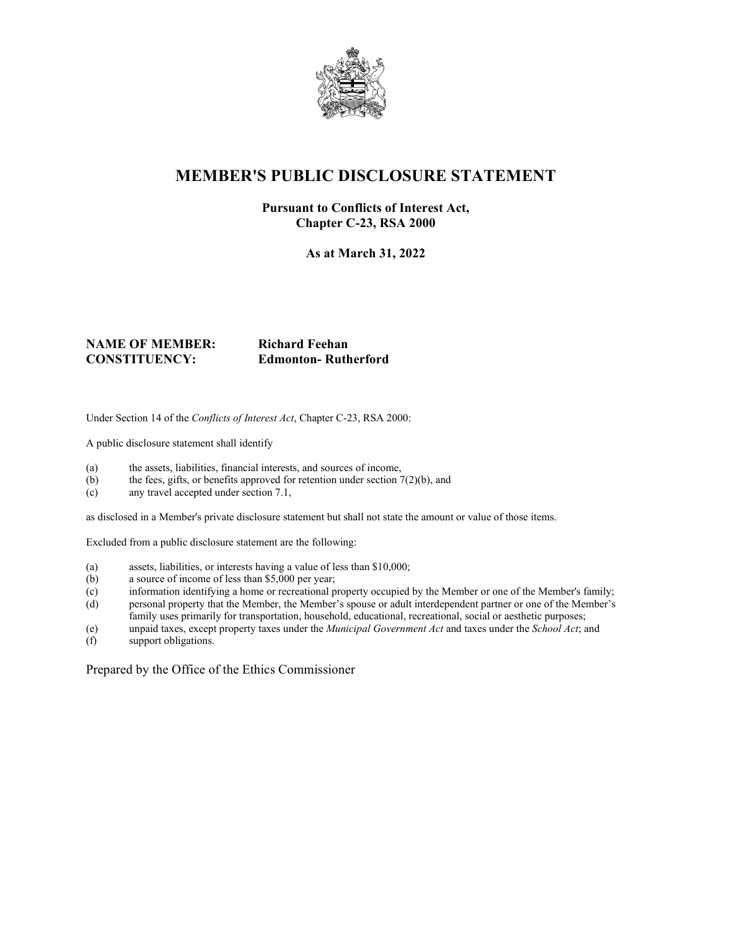

## **MEMBER'S PUBLIC DISCLOSURE STATEMENT**

#### **Pursuant to Conflicts of Interest Act, Chapter C-23, RSA 2000**

**As at March 31, 2022**

#### **NAME OF MEMBER: Richard Feehan CONSTITUENCY: Edmonton- Rutherford**

Under Section 14 of the *Conflicts of Interest Act*, Chapter C-23, RSA 2000:

A public disclosure statement shall identify

- (a) the assets, liabilities, financial interests, and sources of income,
- (b) the fees, gifts, or benefits approved for retention under section  $7(2)(b)$ , and
- (c) any travel accepted under section 7.1,

as disclosed in a Member's private disclosure statement but shall not state the amount or value of those items.

Excluded from a public disclosure statement are the following:

- (a) assets, liabilities, or interests having a value of less than \$10,000;
- (b) a source of income of less than \$5,000 per year;
- (c) information identifying a home or recreational property occupied by the Member or one of the Member's family;
- (d) personal property that the Member, the Member's spouse or adult interdependent partner or one of the Member's family uses primarily for transportation, household, educational, recreational, social or aesthetic purposes;
- (e) unpaid taxes, except property taxes under the *Municipal Government Act* and taxes under the *School Act*; and
- support obligations.

Prepared by the Office of the Ethics Commissioner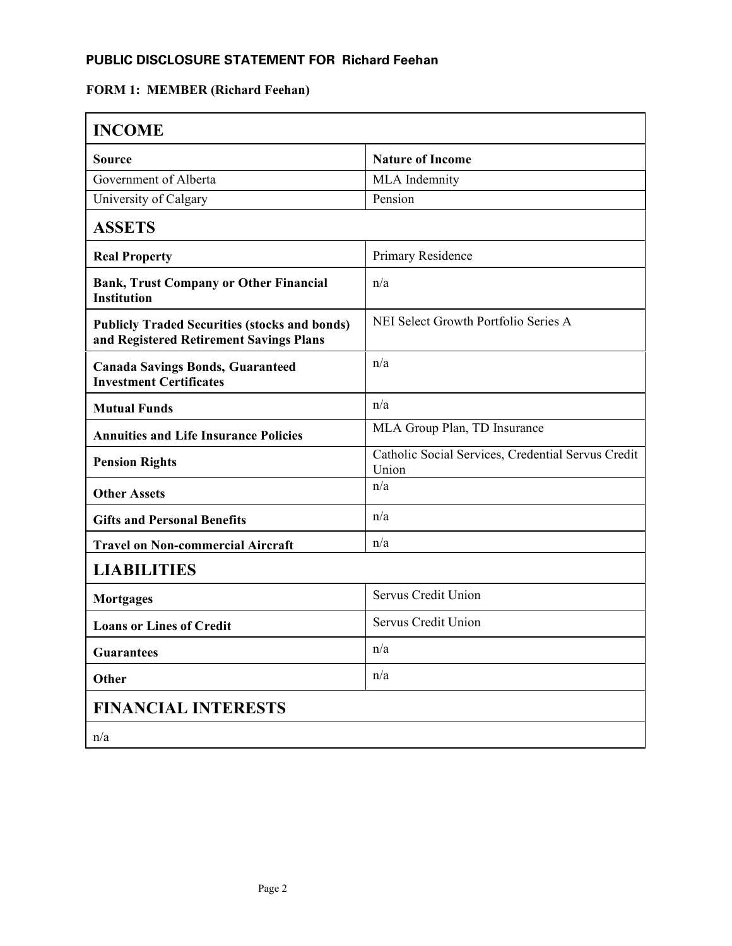### **PUBLIC DISCLOSURE STATEMENT FOR Richard Feehan**

# **FORM 1: MEMBER (Richard Feehan)**

| <b>INCOME</b>                                                                                   |                                                             |
|-------------------------------------------------------------------------------------------------|-------------------------------------------------------------|
| <b>Source</b>                                                                                   | <b>Nature of Income</b>                                     |
| Government of Alberta                                                                           | MLA Indemnity                                               |
| University of Calgary                                                                           | Pension                                                     |
| <b>ASSETS</b>                                                                                   |                                                             |
| <b>Real Property</b>                                                                            | Primary Residence                                           |
| <b>Bank, Trust Company or Other Financial</b><br><b>Institution</b>                             | n/a                                                         |
| <b>Publicly Traded Securities (stocks and bonds)</b><br>and Registered Retirement Savings Plans | NEI Select Growth Portfolio Series A                        |
| <b>Canada Savings Bonds, Guaranteed</b><br><b>Investment Certificates</b>                       | n/a                                                         |
| <b>Mutual Funds</b>                                                                             | n/a                                                         |
| <b>Annuities and Life Insurance Policies</b>                                                    | MLA Group Plan, TD Insurance                                |
| <b>Pension Rights</b>                                                                           | Catholic Social Services, Credential Servus Credit<br>Union |
| <b>Other Assets</b>                                                                             | n/a                                                         |
| <b>Gifts and Personal Benefits</b>                                                              | n/a                                                         |
| <b>Travel on Non-commercial Aircraft</b>                                                        | n/a                                                         |
| <b>LIABILITIES</b>                                                                              |                                                             |
| <b>Mortgages</b>                                                                                | Servus Credit Union                                         |
| <b>Loans or Lines of Credit</b>                                                                 | Servus Credit Union                                         |
| <b>Guarantees</b>                                                                               | n/a                                                         |
| Other                                                                                           | n/a                                                         |
| <b>FINANCIAL INTERESTS</b>                                                                      |                                                             |
| n/a                                                                                             |                                                             |